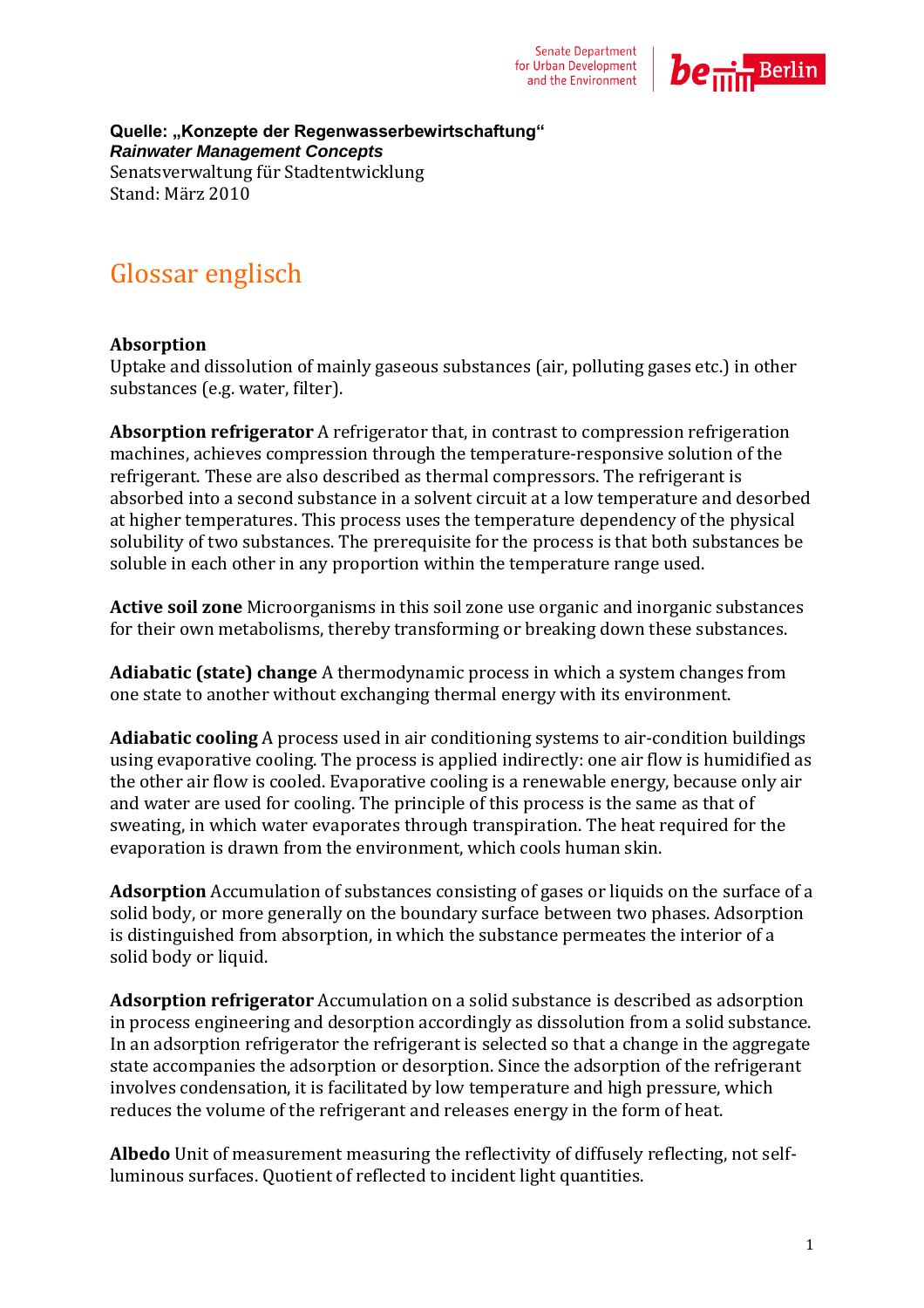

 **Quelle: "Konzepte der Regenwasserbewirtschaftung"**   *Rainwater Management Concepts*  Senatsverwaltung für Stadtentwicklung Stand: März 2010

## Glossar englisch

## **Absorption**

Uptake and dissolution of mainly gaseous substances (air, polluting gases etc.) in other substances (e.g. water, filter).

**Absorption refrigerator** A refrigerator that, in contrast to compression refrigeration machines, achieves compression through the temperature-responsive solution of the refrigerant. These are also described as thermal compressors. The refrigerant is absorbed into a second substance in a solvent circuit at a low temperature and desorbed at higher temperatures. This process uses the temperature dependency of the physical solubility of two substances. The prerequisite for the process is that both substances be soluble in each other in any proportion within the temperature range used.

**Active soil zone** Microorganisms in this soil zone use organic and inorganic substances for their own metabolisms, thereby transforming or breaking down these substances.

**Adiabatic (state) change** A thermodynamic process in which a system changes from one state to another without exchanging thermal energy with its environment.

**Adiabatic cooling** A process used in air conditioning systems to air-condition buildings using evaporative cooling. The process is applied indirectly: one air flow is humidified as the other air flow is cooled. Evaporative cooling is a renewable energy, because only air and water are used for cooling. The principle of this process is the same as that of sweating, in which water evaporates through transpiration. The heat required for the evaporation is drawn from the environment, which cools human skin.

**Adsorption** Accumulation of substances consisting of gases or liquids on the surface of a solid body, or more generally on the boundary surface between two phases. Adsorption is distinguished from absorption, in which the substance permeates the interior of a solid body or liquid.

**Adsorption refrigerator** Accumulation on a solid substance is described as adsorption in process engineering and desorption accordingly as dissolution from a solid substance. In an adsorption refrigerator the refrigerant is selected so that a change in the aggregate state accompanies the adsorption or desorption. Since the adsorption of the refrigerant involves condensation, it is facilitated by low temperature and high pressure, which reduces the volume of the refrigerant and releases energy in the form of heat.

**Albedo** Unit of measurement measuring the reflectivity of diffusely reflecting, not selfluminous surfaces. Quotient of reflected to incident light quantities.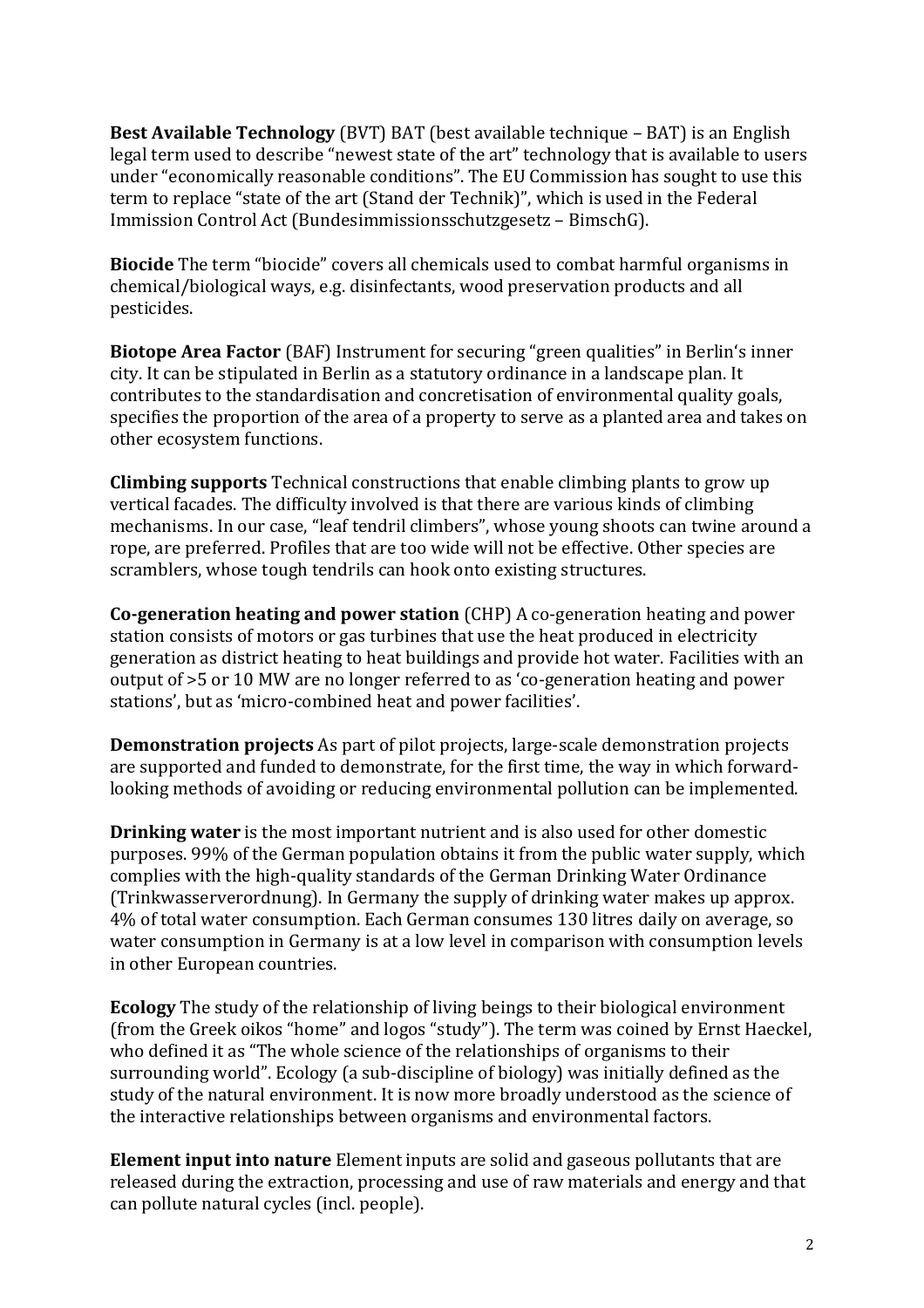Immission Control Act (Bundesimmissionsschutzgesetz – BimschG). **Best Available Technology** (BVT) BAT (best available technique – BAT) is an English legal term used to describe "newest state of the art" technology that is available to users under "economically reasonable conditions". The EU Commission has sought to use this term to replace "state of the art (Stand der Technik)", which is used in the Federal

**Biocide** The term "biocide" covers all chemicals used to combat harmful organisms in chemical/biological ways, e.g. disinfectants, wood preservation products and all pesticides.

**Biotope Area Factor** (BAF) Instrument for securing "green qualities" in Berlin's inner city. It can be stipulated in Berlin as a statutory ordinance in a landscape plan. It contributes to the standardisation and concretisation of environmental quality goals, specifies the proportion of the area of a property to serve as a planted area and takes on other ecosystem functions.

**Climbing supports** Technical constructions that enable climbing plants to grow up vertical facades. The difficulty involved is that there are various kinds of climbing mechanisms. In our case, "leaf tendril climbers", whose young shoots can twine around a rope, are preferred. Profiles that are too wide will not be effective. Other species are scramblers, whose tough tendrils can hook onto existing structures.

**Co-generation heating and power station** (CHP) A co-generation heating and power station consists of motors or gas turbines that use the heat produced in electricity generation as district heating to heat buildings and provide hot water. Facilities with an output of >5 or 10 MW are no longer referred to as 'co-generation heating and power stations', but as 'micro-combined heat and power facilities'.

**Demonstration projects** As part of pilot projects, large-scale demonstration projects are supported and funded to demonstrate, for the first time, the way in which forwardlooking methods of avoiding or reducing environmental pollution can be implemented.

**Drinking water** is the most important nutrient and is also used for other domestic purposes. 99% of the German population obtains it from the public water supply, which complies with the high-quality standards of the German Drinking Water Ordinance (Trinkwasserverordnung). In Germany the supply of drinking water makes up approx. 4% of total water consumption. Each German consumes 130 litres daily on average, so water consumption in Germany is at a low level in comparison with consumption levels in other European countries.

**Ecology** The study of the relationship of living beings to their biological environment (from the Greek oikos "home" and logos "study"). The term was coined by Ernst Haeckel, who defined it as "The whole science of the relationships of organisms to their surrounding world". Ecology (a sub-discipline of biology) was initially defined as the study of the natural environment. It is now more broadly understood as the science of the interactive relationships between organisms and environmental factors.

 **Element input into nature** Element inputs are solid and gaseous pollutants that are released during the extraction, processing and use of raw materials and energy and that can pollute natural cycles (incl. people).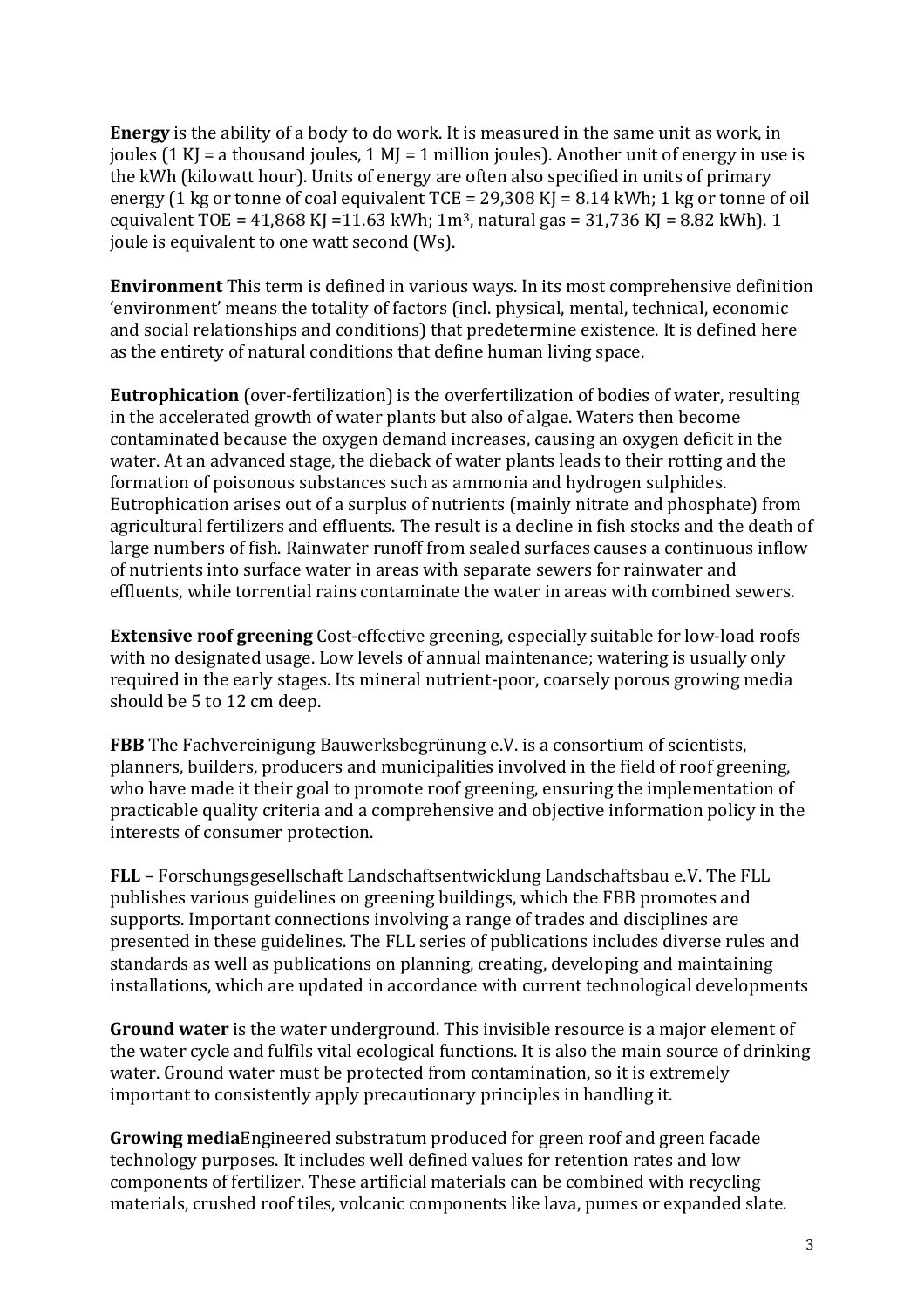energy (1 kg or tonne of coal equivalent TCE = 29,308 KJ = 8.14 kWh; 1 kg or tonne of oil equivalent TOE =  $41,868$  KJ = $11.63$  kWh;  $1m<sup>3</sup>$ , natural gas =  $31,736$  KJ =  $8.82$  kWh). 1 **Energy** is the ability of a body to do work. It is measured in the same unit as work, in joules (1 KJ = a thousand joules, 1 MJ = 1 million joules). Another unit of energy in use is the kWh (kilowatt hour). Units of energy are often also specified in units of primary joule is equivalent to one watt second (Ws).

**Environment** This term is defined in various ways. In its most comprehensive definition 'environment' means the totality of factors (incl. physical, mental, technical, economic and social relationships and conditions) that predetermine existence. It is defined here as the entirety of natural conditions that define human living space.

**Eutrophication** (over-fertilization) is the overfertilization of bodies of water, resulting in the accelerated growth of water plants but also of algae. Waters then become contaminated because the oxygen demand increases, causing an oxygen deficit in the water. At an advanced stage, the dieback of water plants leads to their rotting and the formation of poisonous substances such as ammonia and hydrogen sulphides. Eutrophication arises out of a surplus of nutrients (mainly nitrate and phosphate) from agricultural fertilizers and effluents. The result is a decline in fish stocks and the death of large numbers of fish. Rainwater runoff from sealed surfaces causes a continuous inflow of nutrients into surface water in areas with separate sewers for rainwater and effluents, while torrential rains contaminate the water in areas with combined sewers.

 required in the early stages. Its mineral nutrient-poor, coarsely porous growing media should be 5 to 12 cm deep. **Extensive roof greening** Cost-effective greening, especially suitable for low-load roofs with no designated usage. Low levels of annual maintenance; watering is usually only

**FBB** The Fachvereinigung Bauwerksbegrünung e.V. is a consortium of scientists, planners, builders, producers and municipalities involved in the field of roof greening, who have made it their goal to promote roof greening, ensuring the implementation of practicable quality criteria and a comprehensive and objective information policy in the interests of consumer protection.

**FLL** – Forschungsgesellschaft Landschaftsentwicklung Landschaftsbau e.V. The FLL publishes various guidelines on greening buildings, which the FBB promotes and supports. Important connections involving a range of trades and disciplines are presented in these guidelines. The FLL series of publications includes diverse rules and standards as well as publications on planning, creating, developing and maintaining installations, which are updated in accordance with current technological developments

**Ground water** is the water underground. This invisible resource is a major element of the water cycle and fulfils vital ecological functions. It is also the main source of drinking water. Ground water must be protected from contamination, so it is extremely important to consistently apply precautionary principles in handling it.

**Growing media**Engineered substratum produced for green roof and green facade technology purposes. It includes well defined values for retention rates and low components of fertilizer. These artificial materials can be combined with recycling materials, crushed roof tiles, volcanic components like lava, pumes or expanded slate.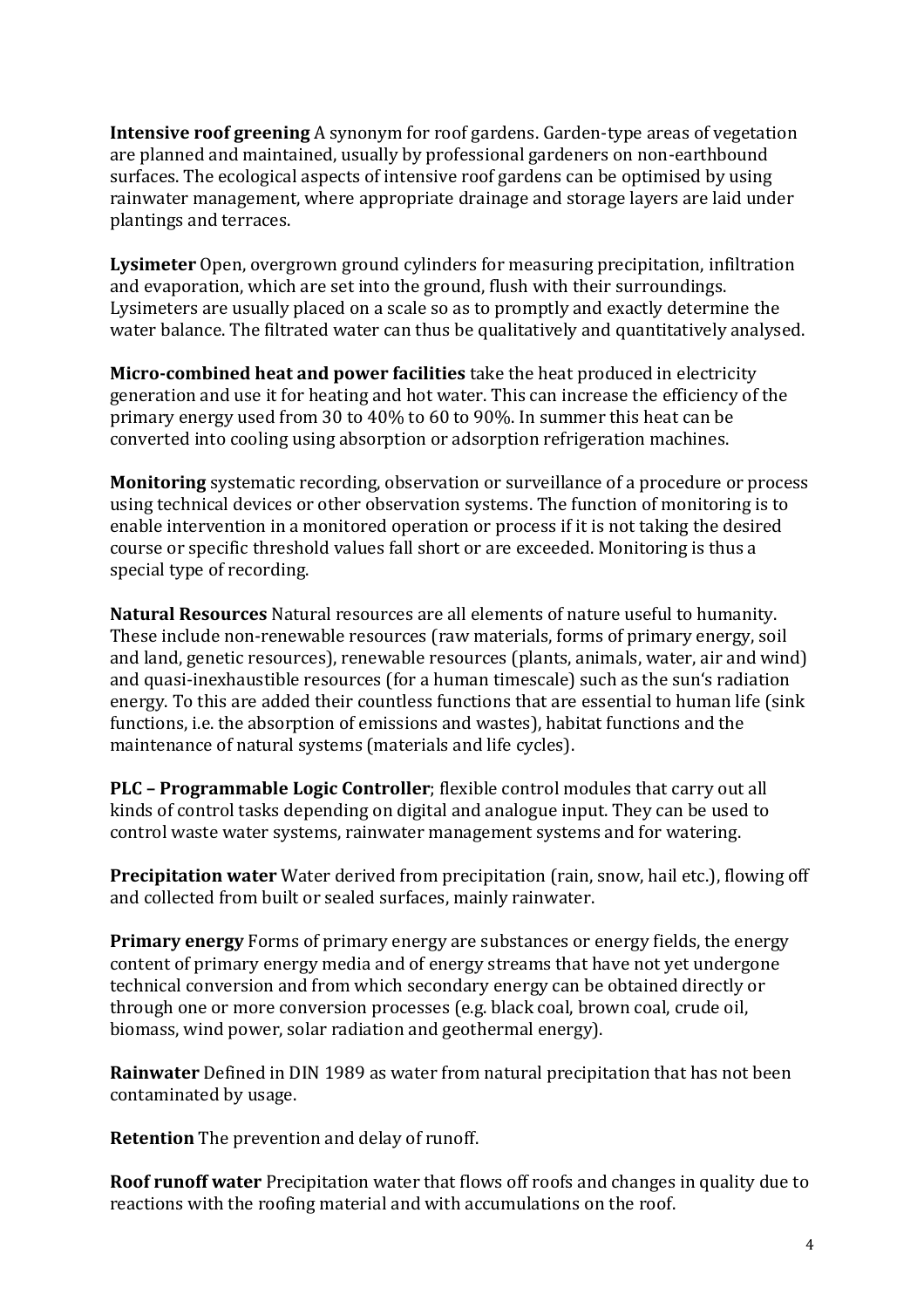plantings and terraces. **Intensive roof greening** A synonym for roof gardens. Garden-type areas of vegetation are planned and maintained, usually by professional gardeners on non-earthbound surfaces. The ecological aspects of intensive roof gardens can be optimised by using rainwater management, where appropriate drainage and storage layers are laid under

**Lysimeter** Open, overgrown ground cylinders for measuring precipitation, infiltration and evaporation, which are set into the ground, flush with their surroundings. Lysimeters are usually placed on a scale so as to promptly and exactly determine the water balance. The filtrated water can thus be qualitatively and quantitatively analysed.

**Micro-combined heat and power facilities** take the heat produced in electricity generation and use it for heating and hot water. This can increase the efficiency of the primary energy used from 30 to 40% to 60 to 90%. In summer this heat can be converted into cooling using absorption or adsorption refrigeration machines.

**Monitoring** systematic recording, observation or surveillance of a procedure or process using technical devices or other observation systems. The function of monitoring is to enable intervention in a monitored operation or process if it is not taking the desired course or specific threshold values fall short or are exceeded. Monitoring is thus a special type of recording.

 maintenance of natural systems (materials and life cycles). **Natural Resources** Natural resources are all elements of nature useful to humanity. These include non-renewable resources (raw materials, forms of primary energy, soil and land, genetic resources), renewable resources (plants, animals, water, air and wind) and quasi-inexhaustible resources (for a human timescale) such as the sun's radiation energy. To this are added their countless functions that are essential to human life (sink functions, i.e. the absorption of emissions and wastes), habitat functions and the

**PLC – Programmable Logic Controller**; flexible control modules that carry out all kinds of control tasks depending on digital and analogue input. They can be used to control waste water systems, rainwater management systems and for watering.

**Precipitation water** Water derived from precipitation (rain, snow, hail etc.), flowing off and collected from built or sealed surfaces, mainly rainwater.

**Primary energy** Forms of primary energy are substances or energy fields, the energy content of primary energy media and of energy streams that have not yet undergone technical conversion and from which secondary energy can be obtained directly or through one or more conversion processes (e.g. black coal, brown coal, crude oil, biomass, wind power, solar radiation and geothermal energy).

 **Rainwater** Defined in DIN 1989 as water from natural precipitation that has not been contaminated by usage.

**Retention** The prevention and delay of runoff.

**Roof runoff water** Precipitation water that flows off roofs and changes in quality due to reactions with the roofing material and with accumulations on the roof.